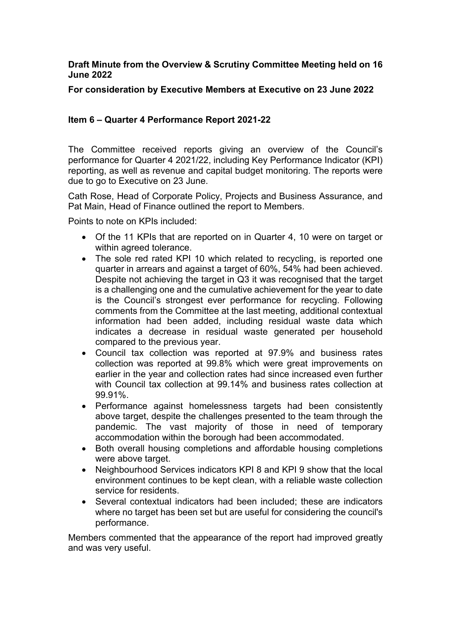## **Draft Minute from the Overview & Scrutiny Committee Meeting held on 16 June 2022**

**For consideration by Executive Members at Executive on 23 June 2022** 

## **Item 6 – Quarter 4 Performance Report 2021-22**

The Committee received reports giving an overview of the Council's performance for Quarter 4 2021/22, including Key Performance Indicator (KPI) reporting, as well as revenue and capital budget monitoring. The reports were due to go to Executive on 23 June.

Cath Rose, Head of Corporate Policy, Projects and Business Assurance, and Pat Main, Head of Finance outlined the report to Members.

Points to note on KPIs included:

- Of the 11 KPIs that are reported on in Quarter 4, 10 were on target or within agreed tolerance.
- The sole red rated KPI 10 which related to recycling, is reported one quarter in arrears and against a target of 60%, 54% had been achieved. Despite not achieving the target in Q3 it was recognised that the target is a challenging one and the cumulative achievement for the year to date is the Council's strongest ever performance for recycling. Following comments from the Committee at the last meeting, additional contextual information had been added, including residual waste data which indicates a decrease in residual waste generated per household compared to the previous year.
- Council tax collection was reported at 97.9% and business rates collection was reported at 99.8% which were great improvements on earlier in the year and collection rates had since increased even further with Council tax collection at 99.14% and business rates collection at 99.91%.
- Performance against homelessness targets had been consistently above target, despite the challenges presented to the team through the pandemic. The vast majority of those in need of temporary accommodation within the borough had been accommodated.
- Both overall housing completions and affordable housing completions were above target.
- Neighbourhood Services indicators KPI 8 and KPI 9 show that the local environment continues to be kept clean, with a reliable waste collection service for residents.
- Several contextual indicators had been included; these are indicators where no target has been set but are useful for considering the council's performance.

Members commented that the appearance of the report had improved greatly and was very useful.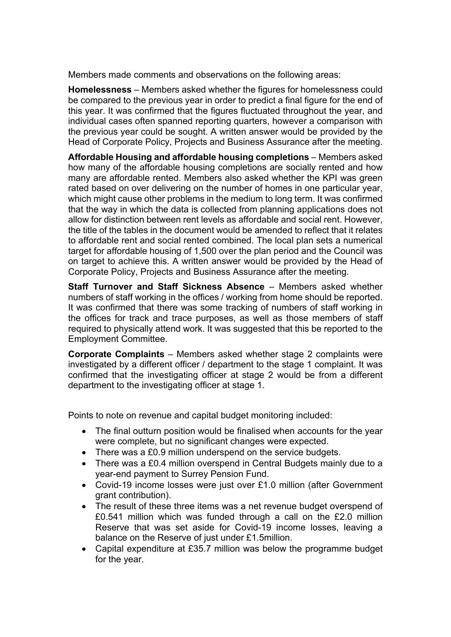Members made comments and observations on the following areas:

**Homelessness** – Members asked whether the figures for homelessness could be compared to the previous year in order to predict a final figure for the end of this year. It was confirmed that the figures fluctuated throughout the year, and individual cases often spanned reporting quarters, however a comparison with the previous year could be sought. A written answer would be provided by the Head of Corporate Policy, Projects and Business Assurance after the meeting.

**Affordable Housing and affordable housing completions** – Members asked how many of the affordable housing completions are socially rented and how many are affordable rented. Members also asked whether the KPI was green rated based on over delivering on the number of homes in one particular year, which might cause other problems in the medium to long term. It was confirmed that the way in which the data is collected from planning applications does not allow for distinction between rent levels as affordable and social rent. However, the title of the tables in the document would be amended to reflect that it relates to affordable rent and social rented combined. The local plan sets a numerical target for affordable housing of 1,500 over the plan period and the Council was on target to achieve this. A written answer would be provided by the Head of Corporate Policy, Projects and Business Assurance after the meeting.

**Staff Turnover and Staff Sickness Absence** – Members asked whether numbers of staff working in the offices / working from home should be reported. It was confirmed that there was some tracking of numbers of staff working in the offices for track and trace purposes, as well as those members of staff required to physically attend work. It was suggested that this be reported to the Employment Committee.

**Corporate Complaints** – Members asked whether stage 2 complaints were investigated by a different officer / department to the stage 1 complaint. It was confirmed that the investigating officer at stage 2 would be from a different department to the investigating officer at stage 1.

Points to note on revenue and capital budget monitoring included:

- The final outturn position would be finalised when accounts for the year were complete, but no significant changes were expected.
- There was a £0.9 million underspend on the service budgets.
- There was a £0.4 million overspend in Central Budgets mainly due to a year-end payment to Surrey Pension Fund.
- Covid-19 income losses were just over £1.0 million (after Government grant contribution).
- The result of these three items was a net revenue budget overspend of £0.541 million which was funded through a call on the £2.0 million Reserve that was set aside for Covid-19 income losses, leaving a balance on the Reserve of just under £1.5million.
- Capital expenditure at £35.7 million was below the programme budget for the year.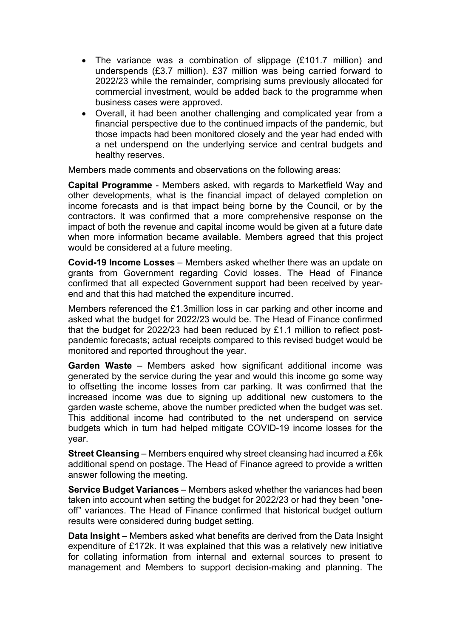- The variance was a combination of slippage (£101.7 million) and underspends (£3.7 million). £37 million was being carried forward to 2022/23 while the remainder, comprising sums previously allocated for commercial investment, would be added back to the programme when business cases were approved.
- Overall, it had been another challenging and complicated year from a financial perspective due to the continued impacts of the pandemic, but those impacts had been monitored closely and the year had ended with a net underspend on the underlying service and central budgets and healthy reserves.

Members made comments and observations on the following areas:

**Capital Programme** - Members asked, with regards to Marketfield Way and other developments, what is the financial impact of delayed completion on income forecasts and is that impact being borne by the Council, or by the contractors. It was confirmed that a more comprehensive response on the impact of both the revenue and capital income would be given at a future date when more information became available. Members agreed that this project would be considered at a future meeting.

**Covid-19 Income Losses** – Members asked whether there was an update on grants from Government regarding Covid losses. The Head of Finance confirmed that all expected Government support had been received by yearend and that this had matched the expenditure incurred.

Members referenced the £1.3million loss in car parking and other income and asked what the budget for 2022/23 would be. The Head of Finance confirmed that the budget for 2022/23 had been reduced by £1.1 million to reflect postpandemic forecasts; actual receipts compared to this revised budget would be monitored and reported throughout the year.

**Garden Waste** – Members asked how significant additional income was generated by the service during the year and would this income go some way to offsetting the income losses from car parking. It was confirmed that the increased income was due to signing up additional new customers to the garden waste scheme, above the number predicted when the budget was set. This additional income had contributed to the net underspend on service budgets which in turn had helped mitigate COVID-19 income losses for the year.

**Street Cleansing** – Members enquired why street cleansing had incurred a £6k additional spend on postage. The Head of Finance agreed to provide a written answer following the meeting.

**Service Budget Variances** – Members asked whether the variances had been taken into account when setting the budget for 2022/23 or had they been "oneoff" variances. The Head of Finance confirmed that historical budget outturn results were considered during budget setting.

**Data Insight** – Members asked what benefits are derived from the Data Insight expenditure of £172k. It was explained that this was a relatively new initiative for collating information from internal and external sources to present to management and Members to support decision-making and planning. The